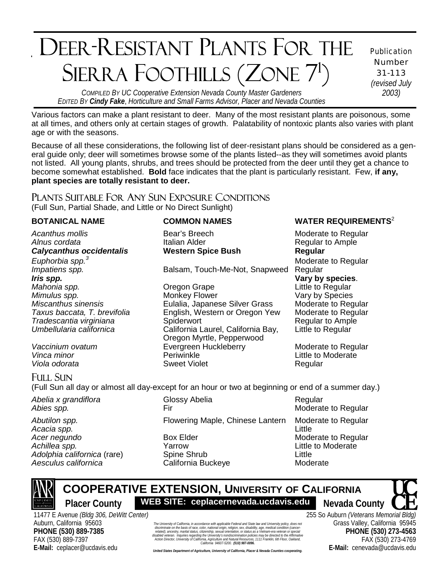# ٦ **PER DECEASE DEANEC CONTIE**  DEER-RESISTANT PLANTS FOR THE SIERRA FOOTHILLS (ZONE 7<sup>1</sup>)

Publication Number 31-113 *(revised July* 

*COMPILED BY UC Cooperative Extension Nevada County Master Gardeners 2003) EDITED BY Cindy Fake*, *Horticulture and Small Farms Advisor, Placer and Nevada Counties* 

Various factors can make a plant resistant to deer. Many of the most resistant plants are poisonous, some at all times, and others only at certain stages of growth. Palatability of nontoxic plants also varies with plant age or with the seasons.

Because of all these considerations, the following list of deer-resistant plans should be considered as a general guide only; deer will sometimes browse some of the plants listed--as they will sometimes avoid plants not listed. All young plants, shrubs, and trees should be protected from the deer until they get a chance to become somewhat established. **Bold** face indicates that the plant is particularly resistant. Few, **if any, plant species are totally resistant to deer.**

### PLANTS SUITABLE FOR ANY SUN EXPOSURE CONDITIONS

(Full Sun, Partial Shade, and Little or No Direct Sunlight)

*Alnus cordata* **Italian Alder Italian Alder Regular to Ample** *Calycanthus occidentalis* **Western Spice Bush****Regular** *Euphorbia spp.<sup>3</sup> Impatiens spp.* Balsam, Touch-Me-Not, Snapweed Regular *Mahonia spp.* Oregon Grape Little to Regular *Mimulus spp.* The Monkey Flower Community Care Vary by Species Community Community Community Community Community

*Taxus baccata, T. brevifolia* English, Western or Oregon Yew *Tradescantia virginiana* Spiderwort Regular to Ample

*Oregon Myrtle, Pepperwood*<br> *Evergreen Huckleberry* Evergreen Huckleberry *Vinca minor* Periwinkle Little to Moderate **Viola odorata** Sweet Violet Regular

## FULL SUN

(Full Sun all day or almost all day-except for an hour or two at beginning or end of a summer day.)

*Adolphia californica* (rare) Aesculus californica **California Buckeye** Moderate

*Abelia x grandiflora* **Clossy Abelia Clossy Abelia** Regular *Abies spp.* **Fir** Fir **Example 2 Moderate to Regular** *Abies spp.* **Abies 3** *Abies spp.* **Abies 3** *Abies spp. Abies spp. Abies spp. Abies spp. Abies spp. Abies spp. Abies spp. Abies sp* Abutilon spp. **Flowering Maple, Chinese Lantern** Moderate to Regular *Acacia spp.* Little *Acer negundo* **Box Elder Box Elder Box Elder Moderate to Regular** Achillea spp. **The Contract State of Achillea Spp. Achillea Spp. Achillea Spp. Achillea Spine Shrub Adolphia californica** (rare) **Spine Shrub Contract Spine Shrub Contract Spine Shrub Contract Spine Shrub C** 



 **COOPERATIVE EXTENSION, UNIVERSITY OF CALIFORNIA**  Placer County **WEB SITE: ceplacernevada.ucdavis.edu** Nevada County

11477 E Avenue *(Bldg 306, DeWitt Center)* Auburn, California 95603 **PHONE (530) 889-7385** FAX (530) 889-7397 **E-Mail:** ceplacer@ucdavis.edu

**UNIVERSITY OF COOPERATIVE CONSIDERATIVE CONSIDERATIVE CONSIDERATIVE ACCOUNT CONSIDERATIVE ACCOUNT OF CONSIDERATIVE CONSIDERATIVE CONSIDERATIVE CONSIDERATIVE CONSIDERATIVE CONSIDERATIVE CONSIDERATIVE CONSIDERATIVE CONSIDER** The University of California, in accordance with applicable Federal and State law and University policy, does not iscriminate on the basis of race, color, national origin, religion, sex, disability, age, medical condition (ca<br>lated), ancestry, marifal status, citizenship, sexual orientation, or status as a Vietnam-era veterari or spi<br> discriminate on the basis of race, color, national origin, religion, sex, disability, age, medical condition (cancer-<br>related), ancestry, marital status, citizenship, sexual orientation, or status as a Vietnam-era veleran

### **BOTANICAL NAME COMMON NAMES WATER REQUIREMENTS<sup>2</sup>**

Acanthus mollis **Bear's Breech** Moderate to Regular Moderate to Regular **Vary by species.** *Miscanthus sinensis*<br> **Eulalia, Japanese Silver Grass** Moderate to Regular<br>
Taxus baccata, T. brevifolia Chaglish, Western or Oregon Yew Moderate to Regular *Umbellularia californica* California Laurel, California Bay, Little to Regular

**Evergreen Huckleberry Moderate to Regular** 

255 So Auburn *(Veterans Memorial Bldg)* Grass Valley, California 95945 **PHONE (530) 273-4563** FAX (530) 273-4769 **E-Mail:** cenevada@ucdavis.edu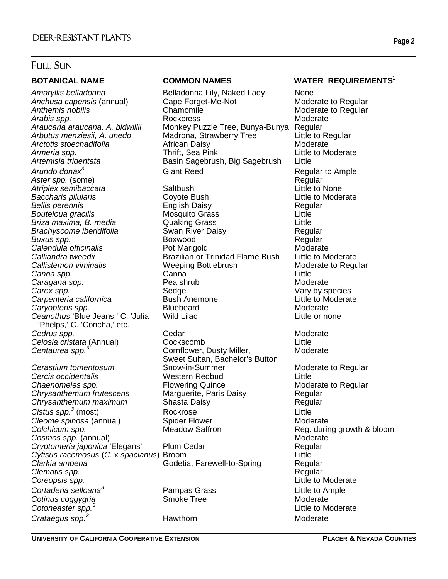*Anchusa capensis* (annual) Cape Forge<br>Anthemis nobilis Chamomile *Arctotis stoechadifolia* **African Daisy**<br>**Armeria spp.** Thrift, Sea Pink *Arundo donax<sup>3</sup>* **Aster spp. (some) Regular Regular Regular Regular** *Bouteloua gracilis*<br> *Briza maxima, B. media Alexandria* Quaking Grass *Caragana spp. Ceanothus* 'Blue Jeans,' C. 'Julia Wild Lilac Little or none 'Phelps,' C. 'Concha,' etc. **Cedrus spp.** Cedar Cedar Moderate *Celosia cristata* (Annual) Cockscomb Little *Centaurea spp.<sup>3</sup>*

*Cercis occidentalis* Western Redbud Little **Chaenomeles spp.** Thowering Quince **Chaenomeles spp.** The State of Regular *Chrysanthemum frutescens* Marguerite, Paris Daisy Regular *Chrysanthemum maximum Cistus spp.3* **Cleome spinosa (annual) Cleome Spider Flower Cleome Moderate** Moderate **Colchicum spp.** The Meadow Saffron The Reg. during growth & bloom Cos*mos spp.* (annual)<br>
Cryptomeria japonica 'Elegans' Plum Cedar Negular Regular Cryptomeria japonica 'Elegans' *Cytisus racemosus* (*C.* x *spacianus*) Broom Little *Clarkia amoena* Godetia, Farewell-to-Spring Regular *Clematis spp.* Regular *Coreopsis spp.* Little to Moderate *Cortaderia selloana<sup>3</sup>* **Cotinus coggygria** Cotinus Cotinus Communication Smoke Tree Cotinus Coderate *Cotoneaster spp.<sup>3</sup> Crataegus spp.<sup>3</sup>*

Amaryllis belladonna Belladonna Lily, Naked Lady None<br>Anchusa capensis (annual) Cape Forget-Me-Not Moderate to Regular Anthemis nobilis **Anthemis is construent as a Chamomile** Moderate to Regular *Arabis spp.* Rockcress Moderate *Araucaria araucana, A. bidwillii* Monkey Puzzle Tree, Bunya-Bunya Regular *Arbutus menziesii, A. unedo* Madrona, Strawberry Tree Little to Regular *Armeria spp.* Thrift, Sea Pink Little to Moderate **Basin Sagebrush, Big Sagebrush** Giant Reed Regular to Ample

ī

*Atriplex semibaccata* Saltbush Little to None *Baccharis pilularis*<br> *Bellis perennis*<br>
Modernis Coyote Bush Caisy<br>
English Daisy<br>
Modernis Regular *Bellis perennis* English Daisy Regular *Briza maxima, B. media* Quaking Grass Little *Brachyscome iberidifolia* Swan River Daisy Segular **Buxus spp.** The Regular **Boxwood Boxwood Regular** Regular **Calendula officinalis Pot Marigold Calendula of Moderate** *Calliandra tweedii* Brazilian or Trinidad Flame Bush Little to Moderate *Callistemon viminalis* Weeping Bottlebrush Moderate to Regular *Canna spp.* Canna Little **Carex spp.** The Carex space Sedge Carex Sedge Vary by species *Carpenteria californica* Bush Anemone Little to Moderate **Caryopteris spp.** The Bluebeard Caryopteris spp. The Bluebeard Moderate

Cornflower, Dusty Miller, Moderate Sweet Sultan, Bachelor's Button<br>Snow-in-Summer **Cerastium tomentosum Snow-in-Summer Cerastium Moderate to Regular** Rockrose Little

Pampas Grass **Little to Ample**<br>
Smoke Tree **Moderate** 

### **BOTANICAL NAME COMMON NAMES WATER REQUIREMENTS**<sup>2</sup>

 Little to Moderate Hawthorn Moderate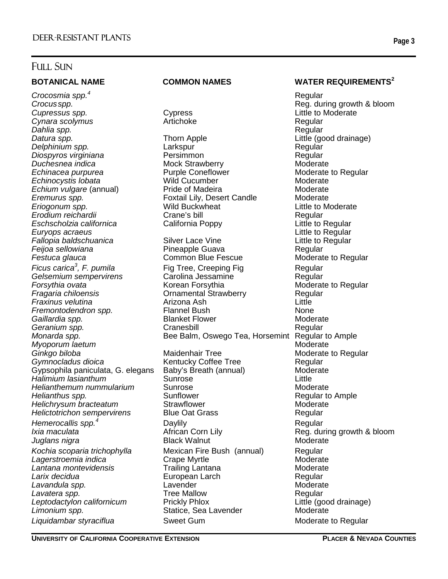*Crocosmia spp.<sup>4</sup> Cupressus spp.* Cypress Little to Moderate **Cynara scolymus Cynara Scolymus Artichoke Regular Regular** *Dahlia spp.* Regular **Datura spp.** Thorn Apple **Thorn Apple** Little (good drainage) *Eremurus spp.* **Foxtail Lily, Desert Candle Fallopia baldschuanica** Silver Lace Vine *Ficus carica<sup>3</sup> Fraxinus velutina* Arizona Ash Little Gypsophila paniculata, G. elegans *Hemerocallis spp.<sup>4</sup>*

ī

*Delphinium spp.* Larkspur Regular *Diospyros virginiana* Persimmon Regular *Duchesnea indica* Mock Strawberry Moderate *Echinacea purpurea* Purple Coneflower Moderate to Regular **Echinocystis lobata** Mild Cucumber Moderate *Echium vulgare* (annual) Pride of Madeira Provident Moderate<br>
Foxtail Lilv. Desert Candle Moderate Moderate *Eriogonum spp.* Wild Buckwheat Little to Moderate *Erodium reichardii* Crane's bill Regular *Eschscholzia californica* California Poppy Little to Regular *Euryops acraeus* Little to Regular *Feijoa sellowiana* Pineapple Guava Regular **Common Blue Fescue Fig Tree, Creeping Fig Tree, Creeping Fig Algebruary Regular** Gelsemium sempervirens Carolina Jessamine Regular *Forsythia ovata* Korean Forsythia Moderate to Regular **Fragaria Chilometria Chilometria chilometria chilometria chilometria chilometria chilometria chilometria chil<br>
France Chilometria chilometria chilometria chilometria chilometria chilometria chilometria chilometria chilome** *Fremontodendron spp.* Flannel Bush None **Gaillardia spp.** The State of Blanket Flower Controller and Moderate Moderate *Geranium spp.* Cranesbill Regular *Monarda spp.* **Bee Balm, Oswego Tea, Horsemint Regular to Ample** *Myoporum laetum* and the second second second second second second manufacturers and moderate second manufacturers of  $\mathcal{M}$ *Ginkgo biloba* Maidenhair Tree Moderate to Regular *Gymnocladus dioica* Kentucky Coffee Tree Regular *Halimium lasianthum* Sunrose Little *Helianthemum nummularium* Sunrose **Moderate** Moderate Moderate<br>Helianthus spp. **Moderate** Sunflower Sunter Sunter Regular to **Fig.** Sunflower **Sunflower** Regular to Ample **Helichrysum bracteatum** Strawflower **Moderate** Moderate *Helictotrichon sempervirens* Blue Oat Grass Regular Daylily **Dayliller Regular** *Ixia maculata African Corn Lily* **Reg. during growth & bloom** *Juglans nigra* **Black Walnut** Moderate Moderate *Kochia scoparia trichophylla* Mexican Fire Bush (annual) Regular **Lagerstroemia indica Crape Myrtle Moderate Moderate** Moderate **Lantana montevidensis example 1 Trailing Lantana Communist Contract Moderate Larix decidua** extending the Larch **European Larch** European Care Regular **Lavandula spp.** The Communication of Lavender Communication of Moderate **Lavatera spp.** Tree Mallow **Regular** Regular Leptodactylon californicum **Prickly Phlox**<br>
Little (good drainage) Statice, Sea Lavender Moderate Moderate **Statice, Sea Lavender** Liquidambar styraciflua **Sweet Gum** Sweet Gum Moderate to Regular

### BOTANICAL NAME COMMON NAMES WATER REQUIREMENTS<sup>2</sup>

 Regular *Crocus spp.* Reg. during growth & bloom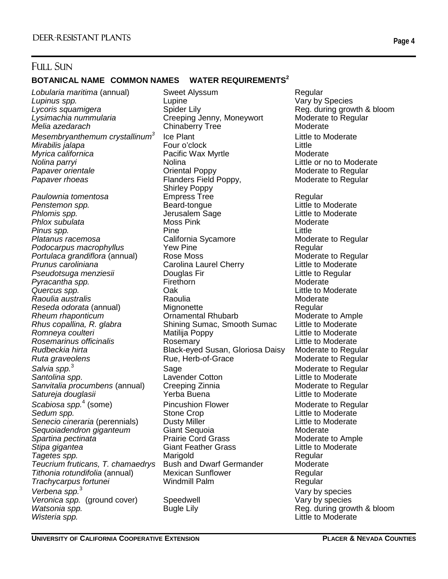### **BOTANICAL NAME COMMON NAMES WATER REQUIREMENTS<sup>2</sup>**

*Lobularia maritima* (annual) Sweet Alyssum Regular *Lycoris squamigera* **Spider Lily** Spider Lily **Reg. during growth & bloom**<br> *Lysimachia nummularia* Creeping Jenny. Moneywort Moderate to Regular *Lysimachia nummularia* Creeping Jenny, Moneywort Moderate to Regular<br>
Melia azedarach Chinaberry Tree Moderate *Mesembryanthemum crystallinum3 Mirabilis jalapa Myrica californica* **Pacific Wax Myrtle Moderate** Moderate *Nolina parryi* and the Molina **Nollina** Little or no to Moderate **Papaver orientale Community Community Community Community Community Community Community Community Community Community Community Community Community Community Community Community Community Community Community Community Com Papaver rhoeas** Flanders Field Poppy, Moderate to Regular

Paulownia tomentosa **Empress Tree** Regular<br>Penstemon spp. **Execute Seard-tongue** Regular Regular **Penstemon spp.** The Beard-tongue Constant Little to Moderate Phlomis spp. **Accord Controller Sage Controller Sage** Little to Moderate Little to Moderate Controller Sage Controller School Controller Phlox subulate Phlox subulate **Phlox subulata** Moss Pink Moss Pink Moderate *Pinus spp.* Pine **Pine Pine Pine Little** *Platanus racemosa* California Sycamore Moderate to Regular Podocarpus macrophyllus The New Pine The Regular<br>Portulaca grandiflora (annual) Rose Moss Regular Regular Regular Portulaca grandiflora (annual) and Rose Moss<br>Prunus caroliniana **Rose Carolina Laurel Cherry** and Little to Moderate Pseudotsuga menziesii **Brandicas Douglas I**<br>Pyracantha spp. brandic Regular Pirethorn **Pyracantha spp.** The **Firethorn** Communication Moderate *Quercus spp.* Oak Little to Moderate *Raoulia australis* Raoulia Moderate **Reseda odorata (annual)** Mignonette **Mignonette** Regular **Rheum rhaponticum** Cornamental Rhubarb Moderate to Ample *Rhus copallina, R. glabra* Shining Sumac, Smooth Sumac Little to Moderate **Romneya coulteri** The Matilija Poppy The Matilism Little to Moderate *Rosemarinus officinalis* **Rosemary** Rosemary **Rosemary** Little to Moderate<br>Black-eved Susan, Gloriosa Daisy Moderate to Regu **Ruta graveolens** The Rue, Herb-of-Grace **Rule** Moderate to Regular *Salvia spp.*<sup>3</sup> *Sanvitalia procumbens* (annual) Creeping Zinnia Moderate to Regular Satureja douglasii *Scabiosa spp.*<sup>4</sup> *Sedum spp.* Stone Crop Little to Moderate *Senecio cineraria* (perennials) **Sequoiadendron giganteum Ciant Sequoia**<br>
Spartina pectinata **Moderate** Prairie Cord Grass<br>
Moderate *Stipa gigantea* Giant Feather Grass Little to Moderate *Tagetes spp.* Marigold Regular **Teucrium fruticans, T. chamaedrys** *Tithonia rotundifolia* (annual) Mexican Sunflower Regular *Trachycarpus fortunei* Windmill Palm Regular *Verbena spp.*<sup>3</sup> Veronica spp. (ground cover) Corresponding Speedwell Corresponding Vary by species **Watsonia spp. Bugle Lily Bugle Lily Reg. during growth & bloom** *Wisteria spp.* Little to Moderate

**Chinaberry Tree Moderate** Ice Plant<br>
Four o'clock<br>
Four o'clock<br>
Tittle Shirley Poppy **Propertive Carolina Laurel Cherry Little to Moderat<br>
Pouglas Fir<br>
Pouglas Cittle to Regular** *Rudbeckia hirta* Black-eyed Susan, Gloriosa Daisy Moderate to Regular Sage Moderate to Regular Lavender Cotton **Santolina space Little to Moderate** Pincushion Flower Moderate to Regular

ī

**Vary by Species Moderate to Ample** Vary by species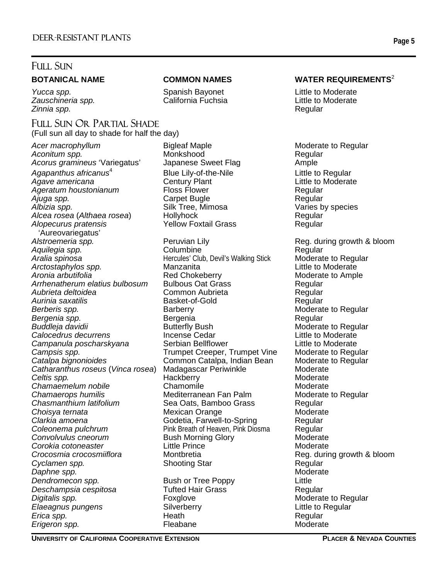Zauschineria spp. *Zinnia spp.* Regular

## FULL SUN OR PARTIAL SHADE

(Full sun all day to shade for half the day)

Acer macrophyllum **Bigleaf Maple** Moderate to Regular *Aconitum spp.* Monkshood Regular Acorus gramineus 'Variegatus' *Agapanthus africanus*<sup>4</sup> Agave americana Ageratum houstonianum **Floss Flower** Floss Flower Regular *Ajuga spp.* Carpet Bugle Regular *Albizia spp.* Silk Tree, Mimosa *Alcea rosea* (*Althaea rosea*) Hollyhock Regular *Alopecurus pratensis* Yellow Foxtail Grass Regular 'Aureovariegatus' Alstroemeria spp. The reg. Alstroemeria spp. Alstroemeria spp. Alstroemeria spp. Alstroemeria spp. Alstroemeria sp *Aquilegia spp.* Columbine Regular **Aralia spinosa Aralia spinosa Aralia spinosa Aralia spinosa Aralia spinosa Arctostaphylos spp. Arctostaphylos spp. Arctostaphylos spp. Manzanita Manzanita Manzanita Manzanita Manzanita Manzanita** Arctostaphylos spp. **Manzanita** *Aronia arbutifolia* The Red Chokeberry **Moderate to Ample** Aronic Ample *Arrhenatherum elatius bulbosum* Bulbous Oat Grass Regular *Aubrieta deltoidea* Common Aubrieta Regular *Aurinia saxatilis* **Berberis spp. Barberry Barberry Constructs Moderate to Regular Bergenia spp. Bergenia Bergenia Regular Regular** *Buddleja davidii* **Butterfly Bush Moderate to Regular**<br>
Calocedrus decurrens **Moderate Cedar Moderate Calocedrus** decurrens **Cedar Calocedrus decurrens** *Campanula poscharskyana* Serbian Bellflower Little to Moderate Campsis spp. Trumpet Creeper, Trumpet Vine Moderate to Regular *Catalpa bignonioides* Common Catalpa, Indian Bean Moderate to Regular Catharanthus roseus (*Vinca rosea*) Madagascar Periwinkle Moderate<br>Celtis spp. Moderate Hackberry Hackberry *Celtis spp. Chamaemelum nobile*<br>
Chamaerops humilis
Chamaerops humilis
Chamaerops humilis
Chamaerops humilis
Chamaerops humilis
Chamaerops humilis
Chamaerops humilis
Chamaerops humilis
Chamaerops humilis
Chamaerops humilis
Chamaerops *Chasmanthium latifolium* Sea Oats, Bamboo Grass Regular *Choisya ternata* Mexican Orange Moderate *Clarkia amoena* Godetia, Farwell-to-Spring Regular **Coleonema pulchrum** Pink Breath of Heaven, Pink Diosma Regular **Convolvulus cneorum Convolvulus Convolvulus cneorum** Bush Morning Glory Convolvulus Moderate **Corokia cotoneaster Corokia cotoneaster**<br>
Crocosmia crocosmiiflora Montbretia Montesta Reg. durir **Cyclamen spp.** Shooting Star **Regular** Regular **Daphne spp.** Moderate and the state of the state of the state of the state of the state of the state of the state of the state of the state of the state of the state of the state of the state of the state of the state of **Dendromecon spp.** The Bush or Tree Poppy The Little *Deschampsia cespitosa* Tufted Hair Grass Regular **Digitalis spp.** The Regular Construction of Foxglove Construction of Moderate to Regular **Elaeagnus pungens Silverberry Communist Elaeagnus pungens Communist Elaeagnus Little to Regular** *Erica spp.* Heath Regular *Erigeron spp.* 

ī

*Yucca spp.* Spanish Bayonet Little to Moderate

Blue Lily-of-the-Nile<br>
Century Plant<br>
Century Plant<br>
Century Plant **Mediterranean Fan Palm** 

### **BOTANICAL NAME COMMON NAMES WATER REQUIREMENTS<sup>2</sup>**

**Reg. during growth & bloom**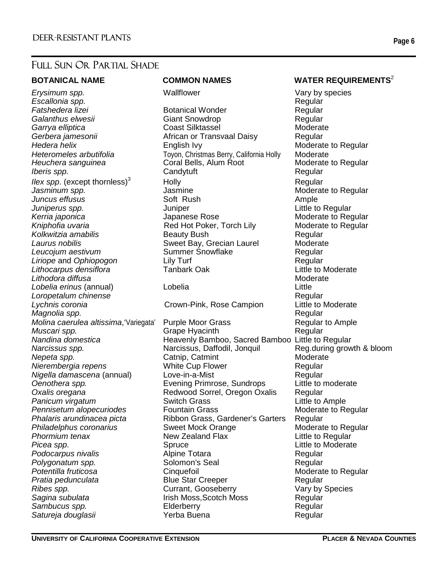## FULL SUN OR PARTIAL SHADE

**Erysimum spp.** Nallflower Wallflower Vary by species *Escallonia spp.* Regular *Ilex spp.* (except thornless) $3$ Lithocarpus densiflora **Lithodora diffusa** Moderate and Moderate and Moderate and Moderate and Moderate and Moderate and Moderate and Moderate and Moderate and Moderate and Moderate and Moderate and Moderate and Moderate and Moderate and Moderat *Lobelia erinus* (annual) Lobelia Little **Loropetalum chinense** Regular *Lychnis coronia* Crown-Pink, Rose Campion Little to Moderate *Magnolia spp.* **Regular Regular Regular Regular Regular** *Muscari spp.* **Grape Hyacinth** 

ī

**Fatshedera lizei Botanical Wonder Regular Regular Galanthus elwesii** Giant Snowdrop **Communist Communist Communist Communist Communist Communist Communist Communist Communist Communist Communist Communist Communist Communist Communist Communist Communist Communist Commun** *Garrya elliptica* Coast Silktassel Moderate *Gerbera jamesonii* African or Transvaal Daisy Regular *Hedera helix* **English Ivy English Ivy** Moderate to Regular Heteromeles arbutifolia **Toyon, Christmas Berry, California Holly** Moderate *Heuchera sanguinea* Coral Bells, Alum Root Moderate to Regular *Iberis spp.* **Candytuft Candytuft Regular Regular** Holly **Regular** Regular *Jasminum spp.* Jasmine Moderate to Regular *Juncus effusus* **Soft Rush Ample** *Juniperus spp.* The *Juniper* Community of *Juniper* and *Little to Regular* Kerria japonica **Musica School School** Japanese Rose **Musical Musical Moderate to Regular** Kniphofia uvaria **Red Hot Poker, Torch Lily** Moderate to Regular *Kolkwitzia amabilis* Beauty Bush Regular Laurus nobilis **Sweet Bay, Grecian Laurel Moderate Leucojum aestivum Summer Snowflake Regular** Regular *Liriope* and *Ophiopogon* and *Lily Turf* **Communist Communist Communist Communist Communist Communist Communist Communist Communist Communist Communist Communist Communist Communist Communist Communist Communist Communis** 

*Molina caerulea altissima*, 'Variegata' Purple Moor Grass **Regular to Ample**<br>Muscari spp. **Regular** Grape Hyacinth *Nandina domestica* Heavenly Bamboo, Sacred Bamboo Little to Regular *Narcissus spp.* Narcissus, Daffodil, Jonquil Reg.during growth & bloom *Nepeta spp.* **Catnip, Catmint Moderate** Moderate *Nierembergia repens* White Cup Flower Regular *Nigella damascena* (annual) Love-in-a-Mist Loure Regular *Oenothera spp.* Evening Primrose, Sundrops Little to moderate *Oxalis oregana* Redwood Sorrel, Oregon Oxalis Regular **Panicum virgatum Switch Grass Communist Constant Communist Communist Communist Communist Communist Communist Communist Communist Communist Communist Communist Communist Communist Communist Communist Communist Communis** Pennisetum alopecuriodes **Fountain Grass Moderate to Regular** *Phalaris arundinacea picta* Ribbon Grass, Gardener's Garters Regular Philadelphus coronarius **Sweet Mock Orange** Moderate to Regular **Phormium tenax** New Zealand Flax **New Zealand Flame** Little to Regular **Picea spp.** Spruce Little to Moderate Little to Moderate **Podocarpus nivalis Alpine Totara Regular** Regular **Polygonatum spp.** Solomon's Seal **Regular** Regular Potentilla fruticosa **Cinquefoil** Cinquefoil Moderate to Regular **Pratia pedunculata** and **Blue Star Creeper Regular** *Ribes spp.* Currant, Gooseberry Vary by Species Sagina subulata **Irish Moss,Scotch Moss** Regular **Sambucus spp.** The Elderberry Communication of the Regular *Satureja douglasii* Yerba Buena Regular

### **BOTANICAL NAME COMMON NAMES WATER REQUIREMENTS<sup>2</sup>**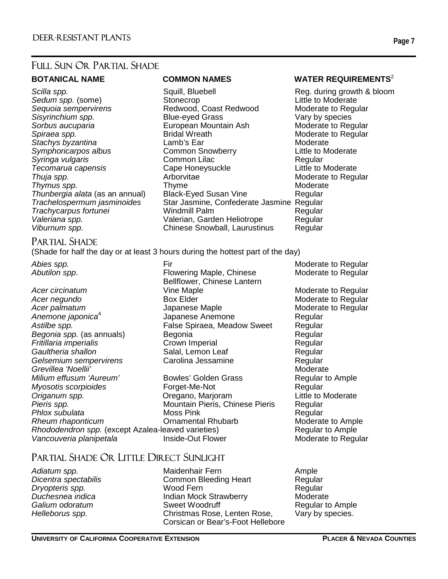## FULL SUN OR PARTIAL SHADE

*Tecomarua capensis* Cape Hone<br>Thuia spp. Capensis Cape Hone

ī

*Scilla spp.* Squill, Bluebell Reg. during growth & bloom Sedum spp. (some) **Stonecrop**<br>
Sequoia sempervirens **Sequoia Sequoia Sequoia Sequoia Sequoia** Coast Redwood, Coast Redwood **Redwood, Coast Redwood** *Sisyrinchium spp.* Blue-eyed Grass Vary by species *Sorbus aucuparia* European Mountain Ash Moderate to Regular **Spiraea spp.** The Spiral Moderate to Regular and Bridal Wreath Moderate to Regular **Stachys byzantina Lamb's Ear** Moderate *Symphoricarpos albus* Common Snowberry **Common Snowberry** Little to Moderate Symphoricarpos albus Common Lilac *Syringa vulgaris*<br>
Tecomarua capensis Cape Honeysuckle Little to Moderate *Thuja spp.* Thuja spp. Thuja spp. Arborvitae Arborvitae Moderate to Regular **Thymus spp.** Thyme **Thyme Moderate** Moderate *Thunbergia alata* (as an annual) Black-Eyed Susan Vine Regular *Trachelospermum jasminoides* Star Jasmine, Confederate Jasmine Regular *Trachycarpus fortunei* Windmill Palm Regular *Valeriana spp.* Valerian, Garden Heliotrope Regular *Viburnum spp.* Chinese Snowball, Laurustinus Regular

### **BOTANICAL NAME COMMON NAMES WATER REQUIREMENTS**<sup>2</sup>

### PARTIAL SHADE

(Shade for half the day or at least 3 hours during the hottest part of the day)

- Acer circinatum **Moderation Contract Contract Vine Maple** Moderate to Regular *Acer negundo* **Box Elder Box Elder Box Elder Moderate to Regular** Acer palmatum **Acer palmatum** Japanese Maple **Moderate to Regular** *Anemone japonica*<sup>4</sup> Astilbe spp. **False Spiraea, Meadow Sweet** Regular *Begonia spp.* (as annuals) **Begonia** Begonia **Regular** Regular *Fritillaria imperialis* Crown Imperial Regular **Gaultheria shallon Salal, Lemon Leaf Regular** Regular *Gelsemium sempervirens* Carolina Jessamine Regular **Grevillea 'Noellii'** Moderate Communication and Moderate Communication and Moderate *Milium effusum 'Aureum'* Bowles' Golden Grass **Regular to Ample** *Myosotis scorpioides* Forget-Me-Not **Forget-Me-Not** Regular *Origanum spp.* Oregano, Marjoram Little to Moderate *Phlox subulata* Moss Pink Moss Pink Regular **Rheum rhaponticum Conamental Rhubarb** Moderate to Ample *Rhododendron spp.* (except Azalea-leaved varieties) Regular to Ample Vancouveria planipetala **Inside-Out Flower** Moderate to Regular
- *Abies spp.* The Moderate to Regular **Firmulation** Control Control Control Moderate to Regular Abutilon spp. **Example 20 Flowering Maple, Chinese** Moderate to Regular Bellflower, Chinese Lantern Japanese Anemone **Regular**

**Mountain Pieris, Chinese Pieris Regular** 

## PARTIAL SHADE OR LITTLE DIRECT SUNLIGHT

Adiatum spp. **Maidenhair Fern** Ample *Dicentra spectabilis* Common Bleeding Heart Regular *Dryopteris spp.* Wood Fern Regular **Duchesnea indica Indian Mock Strawberry** Moderate<br>
Galium odoratum Sweet Woodruff Mone Regular to **Galium odoratum COV COVER SWEET SWEET COVERTS COVER THE REGULAR SWEET SWEET SWEET AREA COVERTS** *Helleborus spp.* Christmas Rose, Lenten Rose, Vary by species. Corsican or Bear's-Foot Hellebore